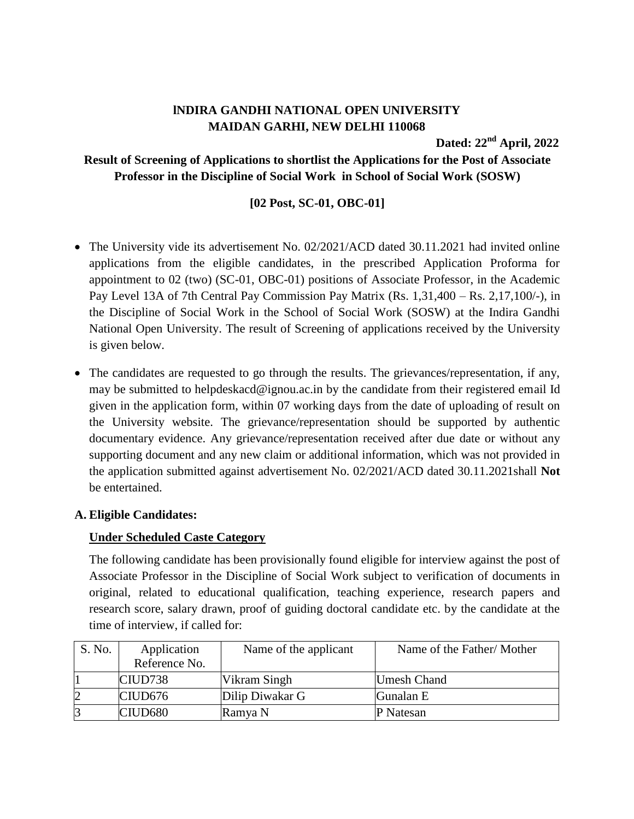# **lNDIRA GANDHI NATIONAL OPEN UNIVERSITY MAIDAN GARHI, NEW DELHI 110068**

**Dated: 22 nd April, 2022**

## **Result of Screening of Applications to shortlist the Applications for the Post of Associate Professor in the Discipline of Social Work in School of Social Work (SOSW)**

## **[02 Post, SC-01, OBC-01]**

- The University vide its advertisement No. 02/2021/ACD dated 30.11.2021 had invited online applications from the eligible candidates, in the prescribed Application Proforma for appointment to 02 (two) (SC-01, OBC-01) positions of Associate Professor, in the Academic Pay Level 13A of 7th Central Pay Commission Pay Matrix (Rs. 1,31,400 – Rs. 2,17,100/-), in the Discipline of Social Work in the School of Social Work (SOSW) at the Indira Gandhi National Open University. The result of Screening of applications received by the University is given below.
- The candidates are requested to go through the results. The grievances/representation, if any, may be submitted to helpdeskacd@ignou.ac.in by the candidate from their registered email Id given in the application form, within 07 working days from the date of uploading of result on the University website. The grievance/representation should be supported by authentic documentary evidence. Any grievance/representation received after due date or without any supporting document and any new claim or additional information, which was not provided in the application submitted against advertisement No. 02/2021/ACD dated 30.11.2021shall **Not** be entertained.

#### **A. Eligible Candidates:**

#### **Under Scheduled Caste Category**

The following candidate has been provisionally found eligible for interview against the post of Associate Professor in the Discipline of Social Work subject to verification of documents in original, related to educational qualification, teaching experience, research papers and research score, salary drawn, proof of guiding doctoral candidate etc. by the candidate at the time of interview, if called for:

| S. No.         | Application         | Name of the applicant | Name of the Father/Mother |
|----------------|---------------------|-----------------------|---------------------------|
|                | Reference No.       |                       |                           |
|                | CIUD738             | Vikram Singh          | <b>Umesh Chand</b>        |
| $\overline{2}$ | CIUD <sub>676</sub> | Dilip Diwakar G       | Gunalan E                 |
| 3              | CIUD <sub>680</sub> | Ramya N               | <b>P</b> Natesan          |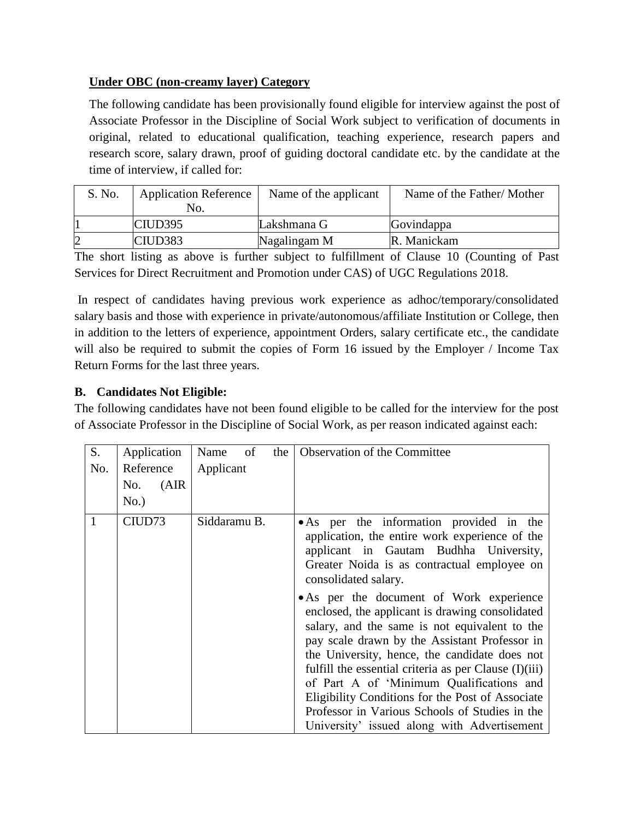# **Under OBC (non-creamy layer) Category**

The following candidate has been provisionally found eligible for interview against the post of Associate Professor in the Discipline of Social Work subject to verification of documents in original, related to educational qualification, teaching experience, research papers and research score, salary drawn, proof of guiding doctoral candidate etc. by the candidate at the time of interview, if called for:

| S. No. | <b>Application Reference</b><br>No. | Name of the applicant | Name of the Father/Mother |
|--------|-------------------------------------|-----------------------|---------------------------|
|        | CID395                              | Lakshmana G           | Govindappa                |
|        | CIUD <sub>383</sub>                 | Nagalingam M          | R. Manickam               |

The short listing as above is further subject to fulfillment of Clause 10 (Counting of Past Services for Direct Recruitment and Promotion under CAS) of UGC Regulations 2018.

In respect of candidates having previous work experience as adhoc/temporary/consolidated salary basis and those with experience in private/autonomous/affiliate Institution or College, then in addition to the letters of experience, appointment Orders, salary certificate etc., the candidate will also be required to submit the copies of Form 16 issued by the Employer / Income Tax Return Forms for the last three years.

### **B. Candidates Not Eligible:**

The following candidates have not been found eligible to be called for the interview for the post of Associate Professor in the Discipline of Social Work, as per reason indicated against each:

| S.  | Application  | Name<br>of<br>the | Observation of the Committee                                                                                                                                                                                                                                  |
|-----|--------------|-------------------|---------------------------------------------------------------------------------------------------------------------------------------------------------------------------------------------------------------------------------------------------------------|
| No. | Reference    | Applicant         |                                                                                                                                                                                                                                                               |
|     | (AIR)<br>No. |                   |                                                                                                                                                                                                                                                               |
|     | No.)         |                   |                                                                                                                                                                                                                                                               |
| 1   | CIUD73       | Siddaramu B.      | • As per the information provided in the<br>application, the entire work experience of the<br>applicant in Gautam Budhha University,<br>Greater Noida is as contractual employee on<br>consolidated salary.<br>• As per the document of Work experience       |
|     |              |                   | enclosed, the applicant is drawing consolidated<br>salary, and the same is not equivalent to the<br>pay scale drawn by the Assistant Professor in<br>the University, hence, the candidate does not<br>fulfill the essential criteria as per Clause $(I)(iii)$ |
|     |              |                   | of Part A of 'Minimum Qualifications and<br>Eligibility Conditions for the Post of Associate<br>Professor in Various Schools of Studies in the                                                                                                                |
|     |              |                   | University' issued along with Advertisement                                                                                                                                                                                                                   |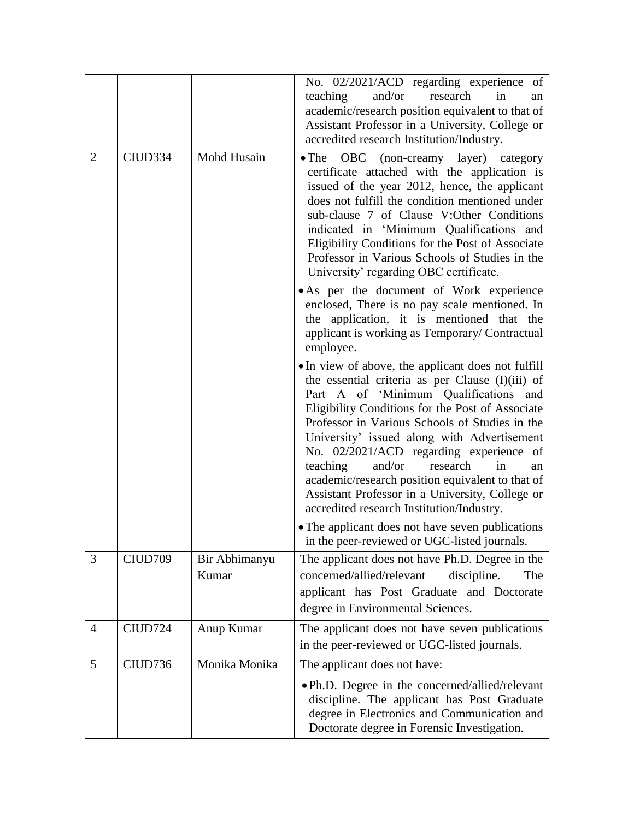|                |         |                        | No. 02/2021/ACD regarding experience of<br>and/or<br>research<br>teaching<br>in<br>an<br>academic/research position equivalent to that of<br>Assistant Professor in a University, College or<br>accredited research Institution/Industry.                                                                                                                                                                                                                                                                                                            |
|----------------|---------|------------------------|------------------------------------------------------------------------------------------------------------------------------------------------------------------------------------------------------------------------------------------------------------------------------------------------------------------------------------------------------------------------------------------------------------------------------------------------------------------------------------------------------------------------------------------------------|
| $\overline{2}$ | CIUD334 | Mohd Husain            | • The OBC (non-creamy layer) category<br>certificate attached with the application is<br>issued of the year 2012, hence, the applicant<br>does not fulfill the condition mentioned under<br>sub-clause 7 of Clause V:Other Conditions<br>indicated in 'Minimum Qualifications and<br>Eligibility Conditions for the Post of Associate<br>Professor in Various Schools of Studies in the<br>University' regarding OBC certificate.                                                                                                                    |
|                |         |                        | • As per the document of Work experience<br>enclosed, There is no pay scale mentioned. In<br>the application, it is mentioned that the<br>applicant is working as Temporary/ Contractual<br>employee.                                                                                                                                                                                                                                                                                                                                                |
|                |         |                        | • In view of above, the applicant does not fulfill<br>the essential criteria as per Clause (I)(iii) of<br>Part A of 'Minimum Qualifications and<br>Eligibility Conditions for the Post of Associate<br>Professor in Various Schools of Studies in the<br>University' issued along with Advertisement<br>No. 02/2021/ACD regarding experience<br>of<br>and/or<br>research<br>teaching<br>in<br>an<br>academic/research position equivalent to that of<br>Assistant Professor in a University, College or<br>accredited research Institution/Industry. |
|                |         |                        | • The applicant does not have seven publications<br>in the peer-reviewed or UGC-listed journals.                                                                                                                                                                                                                                                                                                                                                                                                                                                     |
| 3              | CIUD709 | Bir Abhimanyu<br>Kumar | The applicant does not have Ph.D. Degree in the<br>concerned/allied/relevant<br>discipline.<br>The<br>applicant has Post Graduate and Doctorate<br>degree in Environmental Sciences.                                                                                                                                                                                                                                                                                                                                                                 |
| 4              | CIUD724 | Anup Kumar             | The applicant does not have seven publications<br>in the peer-reviewed or UGC-listed journals.                                                                                                                                                                                                                                                                                                                                                                                                                                                       |
| 5              | CIUD736 | Monika Monika          | The applicant does not have:                                                                                                                                                                                                                                                                                                                                                                                                                                                                                                                         |
|                |         |                        | • Ph.D. Degree in the concerned/allied/relevant<br>discipline. The applicant has Post Graduate<br>degree in Electronics and Communication and<br>Doctorate degree in Forensic Investigation.                                                                                                                                                                                                                                                                                                                                                         |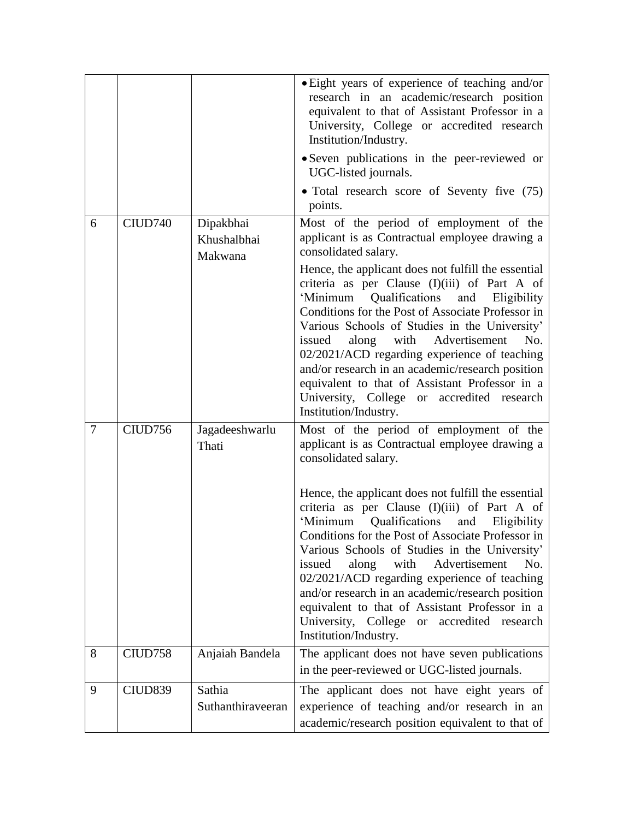|                |         |                                     | • Eight years of experience of teaching and/or<br>research in an academic/research position<br>equivalent to that of Assistant Professor in a<br>University, College or accredited research<br>Institution/Industry.                                                                                                                                                                                                                                                                                                                          |
|----------------|---------|-------------------------------------|-----------------------------------------------------------------------------------------------------------------------------------------------------------------------------------------------------------------------------------------------------------------------------------------------------------------------------------------------------------------------------------------------------------------------------------------------------------------------------------------------------------------------------------------------|
|                |         |                                     | • Seven publications in the peer-reviewed or<br>UGC-listed journals.                                                                                                                                                                                                                                                                                                                                                                                                                                                                          |
|                |         |                                     | • Total research score of Seventy five (75)<br>points.                                                                                                                                                                                                                                                                                                                                                                                                                                                                                        |
| 6              | CIUD740 | Dipakbhai<br>Khushalbhai<br>Makwana | Most of the period of employment of the<br>applicant is as Contractual employee drawing a<br>consolidated salary.                                                                                                                                                                                                                                                                                                                                                                                                                             |
|                |         |                                     | Hence, the applicant does not fulfill the essential<br>criteria as per Clause (I)(iii) of Part A of<br>Qualifications<br>'Minimum<br>and<br>Eligibility<br>Conditions for the Post of Associate Professor in<br>Various Schools of Studies in the University'<br>along<br>with Advertisement<br>issued<br>No.<br>02/2021/ACD regarding experience of teaching<br>and/or research in an academic/research position<br>equivalent to that of Assistant Professor in a<br>University, College or accredited research<br>Institution/Industry.    |
| $\overline{7}$ | CIUD756 | Jagadeeshwarlu<br>Thati             | Most of the period of employment of the<br>applicant is as Contractual employee drawing a<br>consolidated salary.                                                                                                                                                                                                                                                                                                                                                                                                                             |
|                |         |                                     | Hence, the applicant does not fulfill the essential<br>criteria as per Clause (I)(iii) of Part A of<br>Qualifications<br>'Minimum<br>and<br>Eligibility<br>Conditions for the Post of Associate Professor in<br>Various Schools of Studies in the University'<br>along<br>with<br>Advertisement<br>No.<br>issued<br>02/2021/ACD regarding experience of teaching<br>and/or research in an academic/research position<br>equivalent to that of Assistant Professor in a<br>University, College or accredited research<br>Institution/Industry. |
| 8              | CIUD758 | Anjaiah Bandela                     | The applicant does not have seven publications<br>in the peer-reviewed or UGC-listed journals.                                                                                                                                                                                                                                                                                                                                                                                                                                                |
| 9              | CIUD839 | Sathia<br>Suthanthiraveeran         | The applicant does not have eight years of<br>experience of teaching and/or research in an<br>academic/research position equivalent to that of                                                                                                                                                                                                                                                                                                                                                                                                |